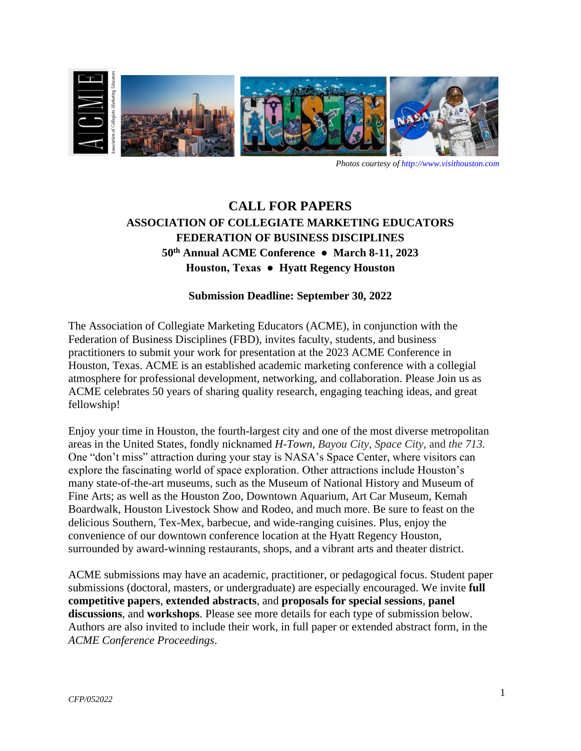

 *Photos courtesy of http://www.visithouston.com*

# **CALL FOR PAPERS ASSOCIATION OF COLLEGIATE MARKETING EDUCATORS FEDERATION OF BUSINESS DISCIPLINES 50th Annual ACME Conference ● March 8-11, 2023 Houston, Texas ● Hyatt Regency Houston**

#### **Submission Deadline: September 30, 2022**

The Association of Collegiate Marketing Educators (ACME), in conjunction with the Federation of Business Disciplines (FBD), invites faculty, students, and business practitioners to submit your work for presentation at the 2023 ACME Conference in Houston, Texas. ACME is an established academic marketing conference with a collegial atmosphere for professional development, networking, and collaboration. Please Join us as ACME celebrates 50 years of sharing quality research, engaging teaching ideas, and great fellowship!

Enjoy your time in Houston, the fourth-largest city and one of the most diverse metropolitan areas in the United States, fondly nicknamed *H-Town, Bayou City, Space City,* and *the 713.* One "don't miss" attraction during your stay is NASA's Space Center, where visitors can explore the fascinating world of space exploration. Other attractions include Houston's many state-of-the-art museums, such as the Museum of National History and Museum of Fine Arts; as well as the Houston Zoo, Downtown Aquarium, Art Car Museum, Kemah Boardwalk, Houston Livestock Show and Rodeo, and much more. Be sure to feast on the delicious Southern, Tex-Mex, barbecue, and wide-ranging cuisines. Plus, enjoy the convenience of our downtown conference location at the Hyatt Regency Houston, surrounded by award-winning restaurants, shops, and a vibrant arts and theater district.

ACME submissions may have an academic, practitioner, or pedagogical focus. Student paper submissions (doctoral, masters, or undergraduate) are especially encouraged. We invite **full competitive papers**, **extended abstracts**, and **proposals for special sessions**, **panel discussions**, and **workshops**. Please see more details for each type of submission below. Authors are also invited to include their work, in full paper or extended abstract form, in the *ACME Conference Proceedings*.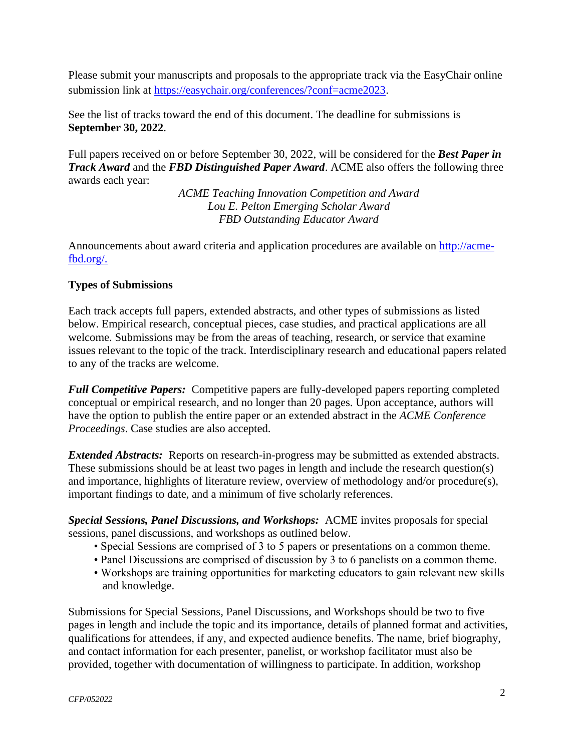Please submit your manuscripts and proposals to the appropriate track via the EasyChair online submission link at [https://easychair.org/conferences/?conf=acme2023.](https://easychair.org/conferences/?conf=acme2023)

See the list of tracks toward the end of this document. The deadline for submissions is **September 30, 2022**.

Full papers received on or before September 30, 2022, will be considered for the *Best Paper in Track Award* and the *FBD Distinguished Paper Award*. ACME also offers the following three awards each year:

> *ACME Teaching Innovation Competition and Award Lou E. Pelton Emerging Scholar Award FBD Outstanding Educator Award*

Announcements about award criteria and application procedures are available on [http://acme](http://acme-fbd.org/)[fbd.org/.](http://acme-fbd.org/)

## **Types of Submissions**

Each track accepts full papers, extended abstracts, and other types of submissions as listed below. Empirical research, conceptual pieces, case studies, and practical applications are all welcome. Submissions may be from the areas of teaching, research, or service that examine issues relevant to the topic of the track. Interdisciplinary research and educational papers related to any of the tracks are welcome.

*Full Competitive Papers:* Competitive papers are fully-developed papers reporting completed conceptual or empirical research, and no longer than 20 pages. Upon acceptance, authors will have the option to publish the entire paper or an extended abstract in the *ACME Conference Proceedings*. Case studies are also accepted.

*Extended Abstracts:* Reports on research-in-progress may be submitted as extended abstracts. These submissions should be at least two pages in length and include the research question(s) and importance, highlights of literature review, overview of methodology and/or procedure(s), important findings to date, and a minimum of five scholarly references.

*Special Sessions, Panel Discussions, and Workshops:* ACME invites proposals for special sessions, panel discussions, and workshops as outlined below.

- Special Sessions are comprised of 3 to 5 papers or presentations on a common theme.
- Panel Discussions are comprised of discussion by 3 to 6 panelists on a common theme.
- Workshops are training opportunities for marketing educators to gain relevant new skills and knowledge.

Submissions for Special Sessions, Panel Discussions, and Workshops should be two to five pages in length and include the topic and its importance, details of planned format and activities, qualifications for attendees, if any, and expected audience benefits. The name, brief biography, and contact information for each presenter, panelist, or workshop facilitator must also be provided, together with documentation of willingness to participate. In addition, workshop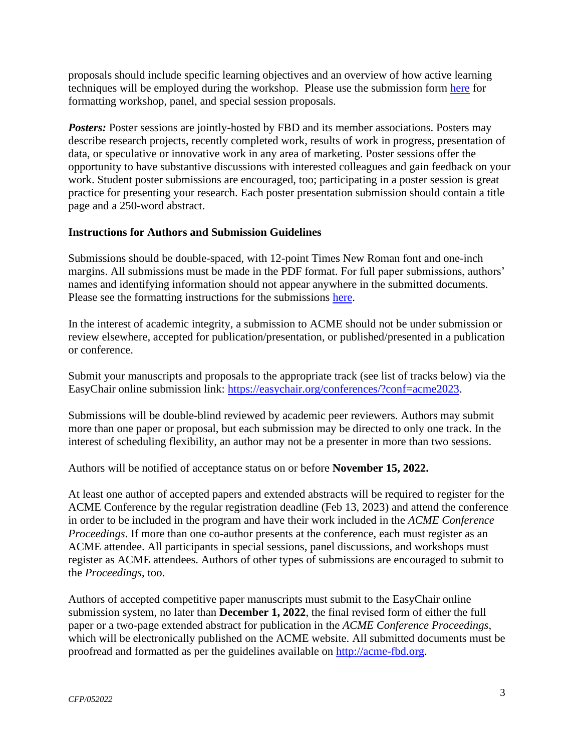proposals should include specific learning objectives and an overview of how active learning techniques will be employed during the workshop. Please use the submission form [here](https://frostburg-my.sharepoint.com/:w:/g/personal/lye_frostburg_edu/ET0zD1i3wfNDoo1RgrMGA2EB7ydngYZRHLfROaHY--vf6w?e=CJqMbP) for formatting workshop, panel, and special session proposals.

**Posters:** Poster sessions are jointly-hosted by FBD and its member associations. Posters may describe research projects, recently completed work, results of work in progress, presentation of data, or speculative or innovative work in any area of marketing. Poster sessions offer the opportunity to have substantive discussions with interested colleagues and gain feedback on your work. Student poster submissions are encouraged, too; participating in a poster session is great practice for presenting your research. Each poster presentation submission should contain a title page and a 250-word abstract.

#### **Instructions for Authors and Submission Guidelines**

Submissions should be double-spaced, with 12-point Times New Roman font and one-inch margins. All submissions must be made in the PDF format. For full paper submissions, authors' names and identifying information should not appear anywhere in the submitted documents. Please see the formatting instructions for the submissions [here.](https://frostburg-my.sharepoint.com/:w:/g/personal/lye_frostburg_edu/ETZBb9bwJG1KnN4RSMwlLDoBwJHlOecbQ6TinB_L6Uq_KQ?e=qeABRN)

In the interest of academic integrity, a submission to ACME should not be under submission or review elsewhere, accepted for publication/presentation, or published/presented in a publication or conference.

Submit your manuscripts and proposals to the appropriate track (see list of tracks below) via the EasyChair online submission link: [https://easychair.org/conferences/?conf=acme2023.](https://easychair.org/conferences/?conf=acme2023)

Submissions will be double-blind reviewed by academic peer reviewers. Authors may submit more than one paper or proposal, but each submission may be directed to only one track. In the interest of scheduling flexibility, an author may not be a presenter in more than two sessions.

Authors will be notified of acceptance status on or before **November 15, 2022.**

At least one author of accepted papers and extended abstracts will be required to register for the ACME Conference by the regular registration deadline (Feb 13, 2023) and attend the conference in order to be included in the program and have their work included in the *ACME Conference Proceedings*. If more than one co-author presents at the conference, each must register as an ACME attendee. All participants in special sessions, panel discussions, and workshops must register as ACME attendees. Authors of other types of submissions are encouraged to submit to the *Proceedings*, too.

Authors of accepted competitive paper manuscripts must submit to the EasyChair online submission system, no later than **December 1, 2022**, the final revised form of either the full paper or a two-page extended abstract for publication in the *ACME Conference Proceedings*, which will be electronically published on the ACME website. All submitted documents must be proofread and formatted as per the guidelines available on [http://acme-fbd.org.](http://acme-fbd.org/)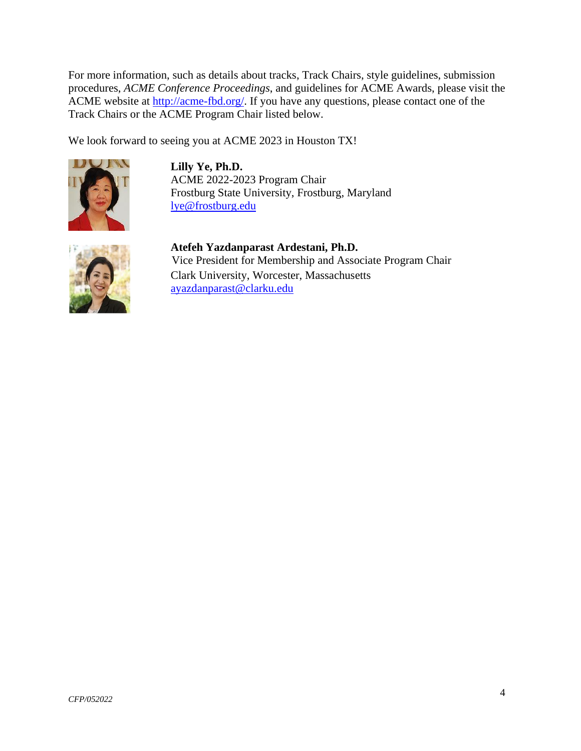For more information, such as details about tracks, Track Chairs, style guidelines, submission procedures, *ACME Conference Proceedings*, and guidelines for ACME Awards, please visit the ACME website at [http://acme-fbd.org/.](http://acme-fbd.org/) If you have any questions, please contact one of the Track Chairs or the ACME Program Chair listed below.

We look forward to seeing you at ACME 2023 in Houston TX!



**Lilly Ye, Ph.D.** ACME 2022-2023 Program Chair Frostburg State University, Frostburg, Maryland [lye@frostburg.edu](mailto:lye@frostburg.edu)



**Atefeh Yazdanparast Ardestani, Ph.D.**  Vice President for Membership and Associate Program Chair Clark University, Worcester, Massachusetts [ayazdanparast@clarku.edu](mailto:ayazdanparast@clarku.edu)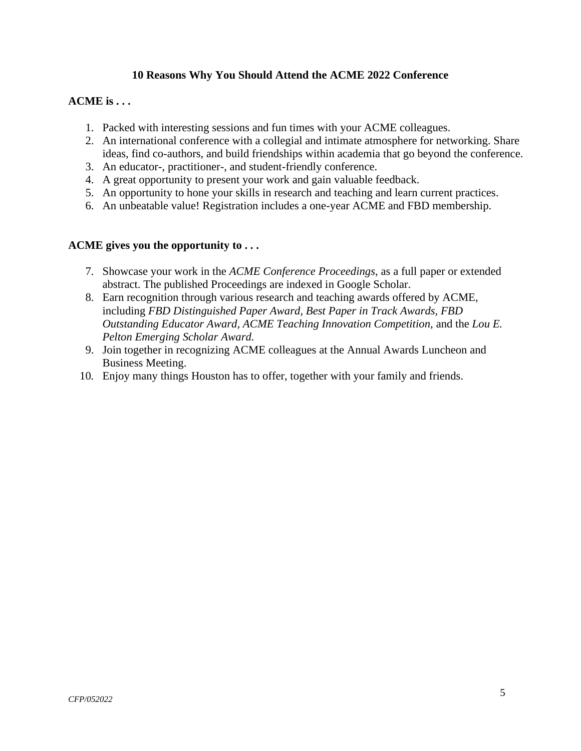## **10 Reasons Why You Should Attend the ACME 2022 Conference**

#### **ACME is . . .**

- 1. Packed with interesting sessions and fun times with your ACME colleagues.
- 2. An international conference with a collegial and intimate atmosphere for networking. Share ideas, find co-authors, and build friendships within academia that go beyond the conference.
- 3. An educator-, practitioner-, and student-friendly conference.
- 4. A great opportunity to present your work and gain valuable feedback.
- 5. An opportunity to hone your skills in research and teaching and learn current practices.
- 6. An unbeatable value! Registration includes a one-year ACME and FBD membership.

#### **ACME gives you the opportunity to . . .**

- 7. Showcase your work in the *ACME Conference Proceedings*, as a full paper or extended abstract. The published Proceedings are indexed in Google Scholar.
- 8. Earn recognition through various research and teaching awards offered by ACME, including *FBD Distinguished Paper Award, Best Paper in Track Awards, FBD Outstanding Educator Award, ACME Teaching Innovation Competition,* and the *Lou E. Pelton Emerging Scholar Award.*
- 9. Join together in recognizing ACME colleagues at the Annual Awards Luncheon and Business Meeting.
- 10*.* Enjoy many things Houston has to offer, together with your family and friends.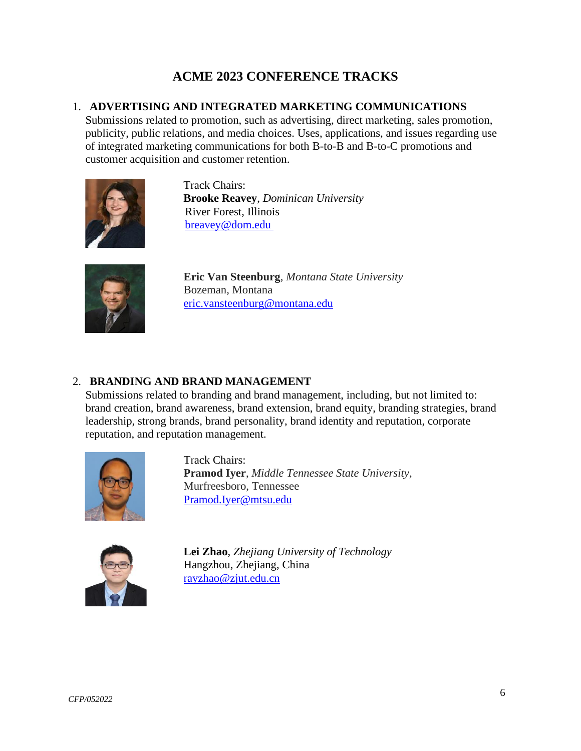# **ACME 2023 CONFERENCE TRACKS**

### 1. **ADVERTISING AND INTEGRATED MARKETING COMMUNICATIONS**

Submissions related to promotion, such as advertising, direct marketing, sales promotion, publicity, public relations, and media choices. Uses, applications, and issues regarding use of integrated marketing communications for both B-to-B and B-to-C promotions and customer acquisition and customer retention.



 Track Chairs:  **Brooke Reavey**, *Dominican University* River Forest, Illinois [breavey@dom.edu](mailto:breavey@dom.edu)



**Eric Van Steenburg**, *Montana State University* Bozeman, Montana [eric.vansteenburg@montana.edu](mailto:eric.vansteenburg@montana.edu)

### 2. **BRANDING AND BRAND MANAGEMENT**

Submissions related to branding and brand management, including, but not limited to: brand creation, brand awareness, brand extension, brand equity, branding strategies, brand leadership, strong brands, brand personality, brand identity and reputation, corporate reputation, and reputation management.



Track Chairs: **Pramod Iyer**, *Middle Tennessee State University,*  Murfreesboro, Tennessee [Pramod.Iyer@mtsu.edu](mailto:Pramod.Iyer@mtsu.edu)



**Lei Zhao**, *Zhejiang University of Technology* Hangzhou, Zhejiang, China [rayzhao@zjut.edu.cn](mailto:rayzhao@zjut.edu.cn)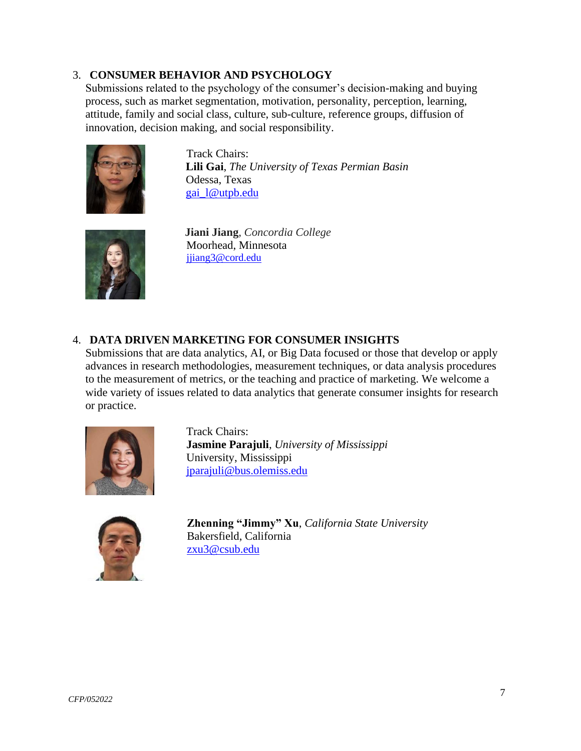#### 3. **CONSUMER BEHAVIOR AND PSYCHOLOGY**

Submissions related to the psychology of the consumer's decision-making and buying process, such as market segmentation, motivation, personality, perception, learning, attitude, family and social class, culture, sub-culture, reference groups, diffusion of innovation, decision making, and social responsibility.



Track Chairs: **Lili Gai**, *The University of Texas Permian Basin* Odessa, Texas [gai\\_l@utpb.edu](mailto:gai_l@utpb.edu)



 **Jiani Jiang**, *Concordia College* Moorhead, Minnesota [jjiang3@cord.edu](mailto:jjiang3@cord.edu)

# 4. **DATA DRIVEN MARKETING FOR CONSUMER INSIGHTS**

Submissions that are data analytics, AI, or Big Data focused or those that develop or apply advances in research methodologies, measurement techniques, or data analysis procedures to the measurement of metrics, or the teaching and practice of marketing. We welcome a wide variety of issues related to data analytics that generate consumer insights for research or practice.



 Track Chairs:  **Jasmine Parajuli**, *University of Mississippi* University, Mississippi [jparajuli@bus.olemiss.edu](mailto:jparajuli@bus.olemiss.edu)



 **Zhenning "Jimmy" Xu**, *California State University*  **Bakersfield, California** [zxu3@csub.edu](mailto:zxu3@csub.edu)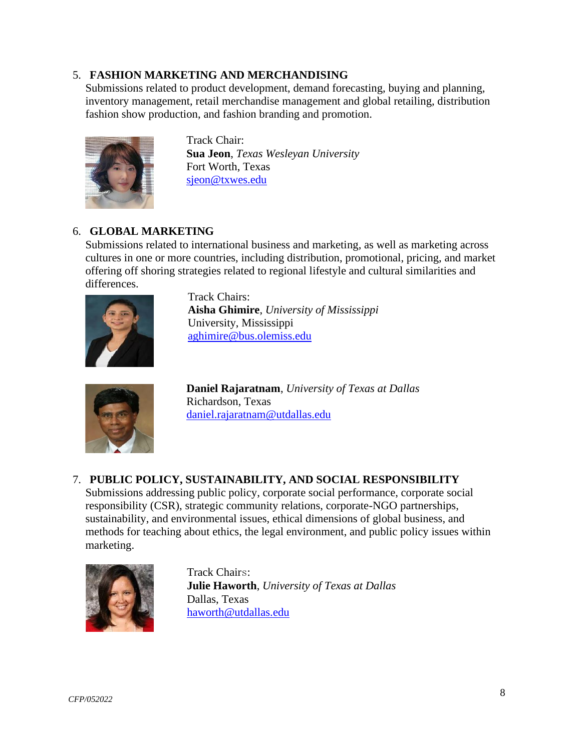#### 5. **FASHION MARKETING AND MERCHANDISING**

Submissions related to product development, demand forecasting, buying and planning, inventory management, retail merchandise management and global retailing, distribution fashion show production, and fashion branding and promotion.



 Track Chair:  **Sua Jeon**, *Texas Wesleyan University* Fort Worth, Texas [sjeon@txwes.edu](mailto:sjeon@txwes.edu) 

## 6. **GLOBAL MARKETING**

Submissions related to international business and marketing, as well as marketing across cultures in one or more countries, including distribution, promotional, pricing, and market offering off shoring strategies related to regional lifestyle and cultural similarities and differences.



 Track Chairs: **Aisha Ghimire**, *University of Mississippi* University, Mississippi [aghimire@bus.olemiss.edu](mailto:aghimire@bus.olemiss.edu)



 **Daniel Rajaratnam**, *University of Texas at Dallas* Richardson, Texas [daniel.rajaratnam@utdallas.edu](mailto:daniel.rajaratnam@utdallas.edu)

## 7. **PUBLIC POLICY, SUSTAINABILITY, AND SOCIAL RESPONSIBILITY**

Submissions addressing public policy, corporate social performance, corporate social responsibility (CSR), strategic community relations, corporate-NGO partnerships, sustainability, and environmental issues, ethical dimensions of global business, and methods for teaching about ethics, the legal environment, and public policy issues within marketing.



 Track Chairs:  **Julie Haworth**, *University of Texas at Dallas* Dallas, Texas [haworth@utdallas.edu](mailto:haworth@utdallas.edu)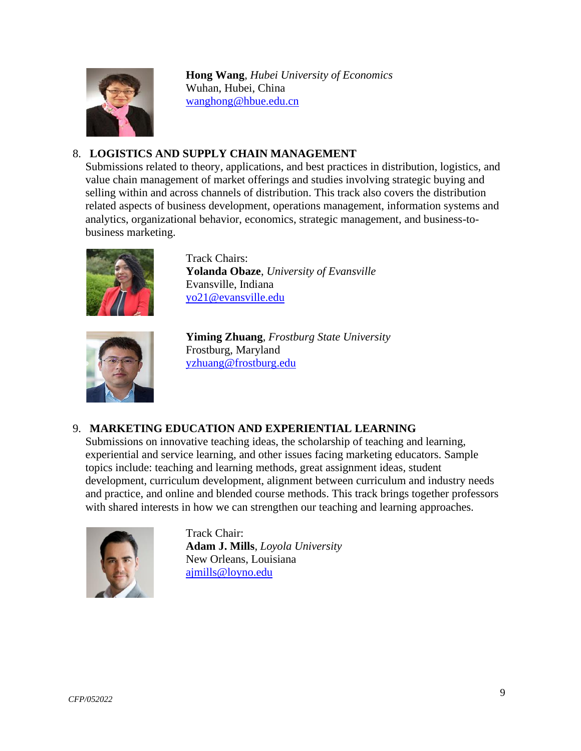

 **Hong Wang**, *Hubei University of Economics* Wuhan, Hubei, China [wanghong@hbue.edu.cn](mailto:wanghong@hbue.edu.cn)

# 8. **LOGISTICS AND SUPPLY CHAIN MANAGEMENT**

Submissions related to theory, applications, and best practices in distribution, logistics, and value chain management of market offerings and studies involving strategic buying and selling within and across channels of distribution. This track also covers the distribution related aspects of business development, operations management, information systems and analytics, organizational behavior, economics, strategic management, and business-tobusiness marketing.



 Track Chairs:  **Yolanda Obaze**, *University of Evansville* Evansville, Indiana [yo21@evansville.edu](mailto:yo21@evansville.edu)



 **Yiming Zhuang**, *Frostburg State University* Frostburg, Maryland [yzhuang@frostburg.edu](mailto:yzhuang@frostburg.edu)

## 9. **MARKETING EDUCATION AND EXPERIENTIAL LEARNING**

Submissions on innovative teaching ideas, the scholarship of teaching and learning, experiential and service learning, and other issues facing marketing educators. Sample topics include: teaching and learning methods, great assignment ideas, student development, curriculum development, alignment between curriculum and industry needs and practice, and online and blended course methods. This track brings together professors with shared interests in how we can strengthen our teaching and learning approaches.



 Track Chair:  **Adam J. Mills**, *Loyola University* New Orleans, Louisiana [ajmills@loyno.edu](mailto:ajmills@loyno.edu)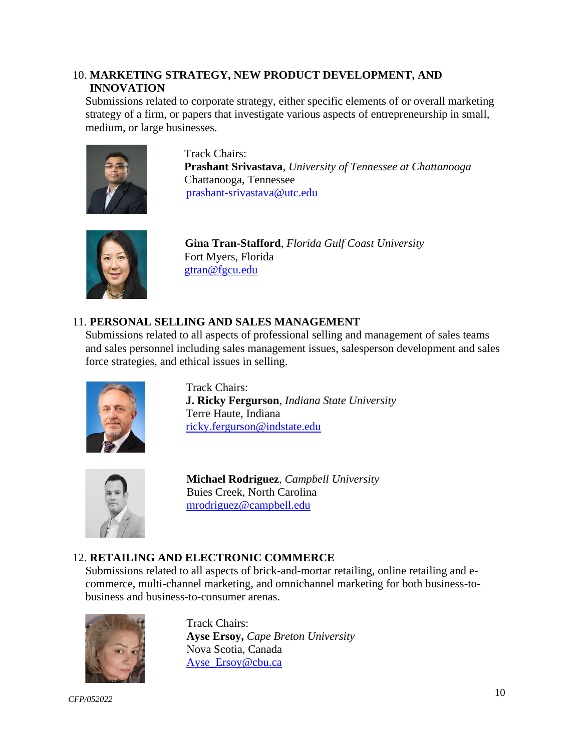# 10. **MARKETING STRATEGY, NEW PRODUCT DEVELOPMENT, AND INNOVATION**

Submissions related to corporate strategy, either specific elements of or overall marketing strategy of a firm, or papers that investigate various aspects of entrepreneurship in small, medium, or large businesses.



 Track Chairs:  **Prashant Srivastava**, *University of Tennessee at Chattanooga* Chattanooga, Tennessee [prashant-srivastava@utc.edu](mailto:prashant-srivastava@utc.edu)



 **Gina Tran-Stafford**, *Florida Gulf Coast University* Fort Myers, Florida [gtran@fgcu.edu](mailto:gtran@fgcu.edu)

# 11. **PERSONAL SELLING AND SALES MANAGEMENT**

Submissions related to all aspects of professional selling and management of sales teams and sales personnel including sales management issues, salesperson development and sales force strategies, and ethical issues in selling.



 Track Chairs:  **J. Ricky Fergurson**, *Indiana State University* Terre Haute, Indiana [ricky.fergurson@indstate.edu](mailto:ricky.fergurson@indstate.edu) 



 **Michael Rodriguez**, *Campbell University* Buies Creek, North Carolina mrodriguez@campbell.edu

# 12. **RETAILING AND ELECTRONIC COMMERCE**

Submissions related to all aspects of brick-and-mortar retailing, online retailing and ecommerce, multi-channel marketing, and omnichannel marketing for both business-tobusiness and business-to-consumer arenas.



 Track Chairs:  **Ayse Ersoy,** *Cape Breton University* Nova Scotia, Canada [Ayse\\_Ersoy@cbu.ca](mailto:Ayse_Ersoy@cbu.ca)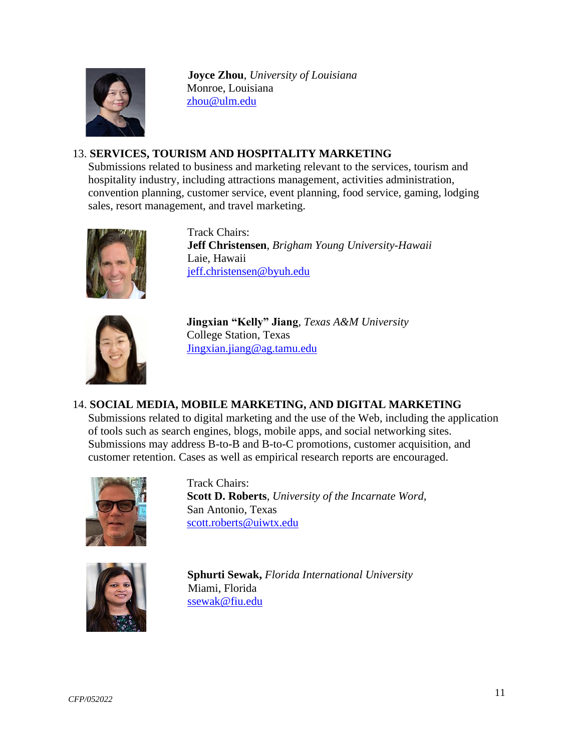

 **Joyce Zhou**, *University of Louisiana* Monroe, Louisiana [zhou@ulm.edu](mailto:zhou@ulm.edu)

# 13. **SERVICES, TOURISM AND HOSPITALITY MARKETING**

Submissions related to business and marketing relevant to the services, tourism and hospitality industry, including attractions management, activities administration, convention planning, customer service, event planning, food service, gaming, lodging sales, resort management, and travel marketing.



Track Chairs: **Jeff Christensen**, *Brigham Young University-Hawaii* Laie, Hawaii [jeff.christensen@byuh.edu](mailto:jeff.christensen@byuh.edu)



**Jingxian "Kelly" Jiang**, *Texas A&M University* College Station, Texas [Jingxian.jiang@ag.tamu.edu](mailto:Jingxian.jiang@ag.tamu.edu) 

# 14. **SOCIAL MEDIA, MOBILE MARKETING, AND DIGITAL MARKETING**

Submissions related to digital marketing and the use of the Web, including the application of tools such as search engines, blogs, mobile apps, and social networking sites. Submissions may address B-to-B and B-to-C promotions, customer acquisition, and customer retention. Cases as well as empirical research reports are encouraged.



Track Chairs: **Scott D. Roberts**, *University of the Incarnate Word,*  San Antonio, Texas [scott.roberts@uiwtx.edu](mailto:scott.roberts@uiwtx.edu)



**Sphurti Sewak,** *Florida International University* Miami, Florida [ssewak@fiu.edu](mailto:ssewak@fiu.edu)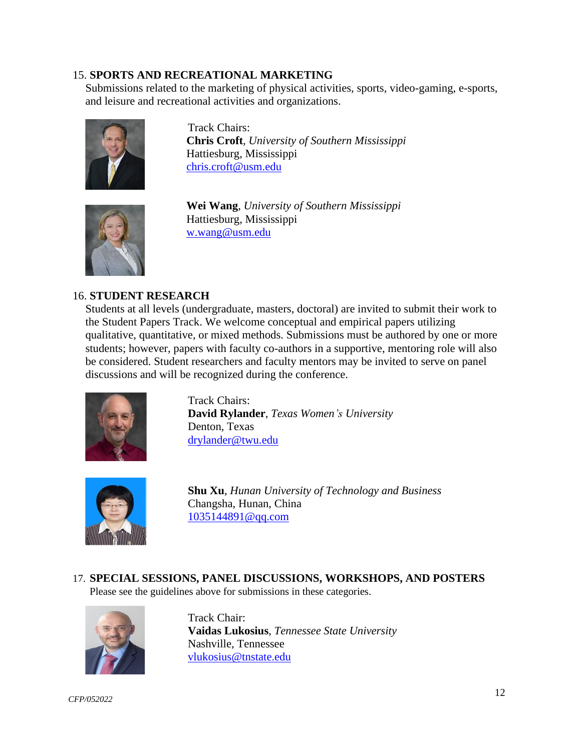#### 15. **SPORTS AND RECREATIONAL MARKETING**

Submissions related to the marketing of physical activities, sports, video-gaming, e-sports, and leisure and recreational activities and organizations.



 Track Chairs: **Chris Croft**, *University of Southern Mississippi* Hattiesburg, Mississippi [chris.croft@usm.edu](mailto:chris.croft@usm.edu)



**Wei Wang**, *University of Southern Mississippi* Hattiesburg, Mississippi [w.wang@usm.edu](mailto:w.wang@usm.edu)

#### 16. **STUDENT RESEARCH**

Students at all levels (undergraduate, masters, doctoral) are invited to submit their work to the Student Papers Track. We welcome conceptual and empirical papers utilizing qualitative, quantitative, or mixed methods. Submissions must be authored by one or more students; however, papers with faculty co-authors in a supportive, mentoring role will also be considered. Student researchers and faculty mentors may be invited to serve on panel discussions and will be recognized during the conference.



Track Chairs: **David Rylander**, *Texas Women's University* Denton, Texas [drylander@twu.edu](mailto:drylander@twu.edu)



**Shu Xu**, *Hunan University of Technology and Business* Changsha, Hunan, China 1035144891@qq.com

## 17. **SPECIAL SESSIONS, PANEL DISCUSSIONS, WORKSHOPS, AND POSTERS**

Please see the guidelines above for submissions in these categories.



 Track Chair: **Vaidas Lukosius**, *Tennessee State University* Nashville, Tennessee [vlukosius@tnstate.edu](mailto:vlukosius@tnstate.edu)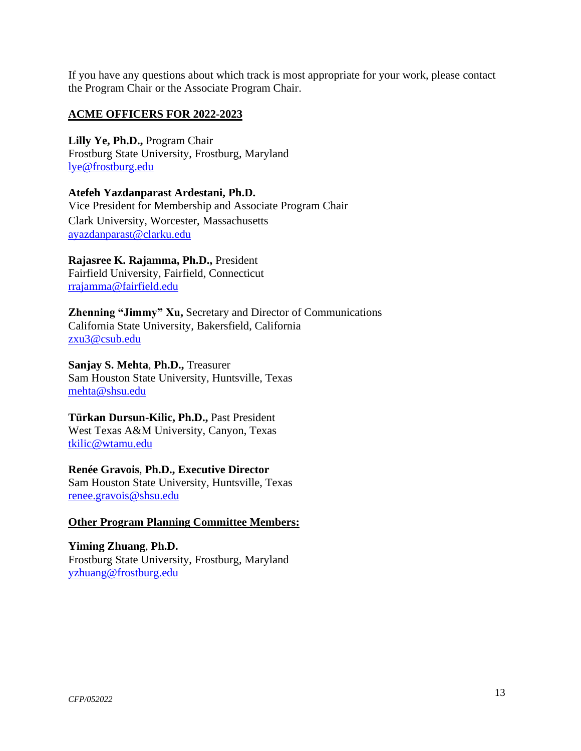If you have any questions about which track is most appropriate for your work, please contact the Program Chair or the Associate Program Chair.

#### **ACME OFFICERS FOR 2022-2023**

**Lilly Ye, Ph.D.,** Program Chair Frostburg State University, Frostburg, Maryland [lye@frostburg.edu](mailto:lye@frostburg.edu)

## **Atefeh Yazdanparast Ardestani, Ph.D.**  Vice President for Membership and Associate Program Chair Clark University, Worcester, Massachusetts

[ayazdanparast@clarku.edu](mailto:ayazdanparast@clarku.edu)

#### **Rajasree K. Rajamma, Ph.D.,** President Fairfield University, Fairfield, Connecticut [rrajamma@fairfield.edu](mailto:rrajamma@fairfield.edu)

**Zhenning "Jimmy" Xu,** Secretary and Director of Communications California State University, Bakersfield, California [zxu3@csub.edu](mailto:zxu3@csub.edu)

**Sanjay S. Mehta**, **Ph.D.,** Treasurer Sam Houston State University, Huntsville, Texas [mehta@shsu.edu](mailto:mehta@shsu.edu) 

**Türkan Dursun-Kilic, Ph.D.,** Past President West Texas A&M University, Canyon, Texas [tkilic@wtamu.edu](mailto:tkilic@wtamu.edu) 

**Renée Gravois**, **Ph.D., Executive Director** Sam Houston State University, Huntsville, Texas [renee.gravois@shsu.edu](mailto:renee.gravois@shsu.edu) 

#### **Other Program Planning Committee Members:**

**Yiming Zhuang**, **Ph.D.** Frostburg State University, Frostburg, Maryland [yzhuang@frostburg.edu](mailto:yzhuang@frostburg.edu)